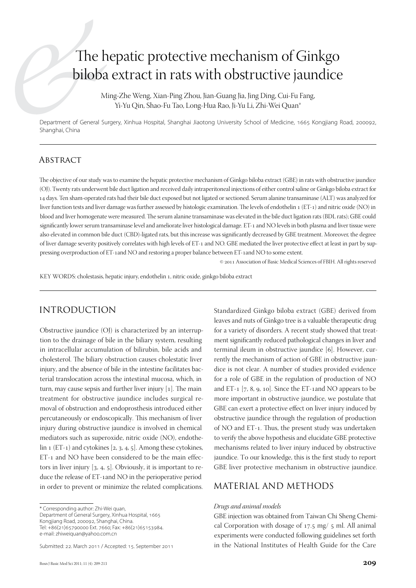# The hepatic protective mechanism of Ginkgo biloba extract in rats with obstructive jaundice

Ming-Zhe Weng, Xian-Ping Zhou, Jian-Guang Jia, Jing Ding, Cui-Fu Fang, Yi-Yu Qin, Shao-Fu Tao, Long-Hua Rao, Ji-Yu Li, Zhi-Wei Quan\*

Department of General Surgery, Xinhua Hospital, Shanghai Jiaotong University School of Medicine, 1665 Kongjiang Road, 200092, Shanghai, China

#### **ABSTRACT**

The objective of our study was to examine the hepatic protective mechanism of Ginkgo biloba extract (GBE) in rats with obstructive jaundice (OJ). Twenty rats underwent bile duct ligation and received daily intraperitoneal injections of either control saline or Ginkgo biloba extract for 14 days. Ten sham-operated rats had their bile duct exposed but not ligated or sectioned. Serum alanine transaminase (ALT) was analyzed for liver function tests and liver damage was further assessed by histologic examination. The levels of endothelin 1 (ET-1) and nitric oxide (NO) in blood and liver homogenate were measured. The serum alanine transaminase was elevated in the bile duct ligation rats (BDL rats); GBE could significantly lower serum transaminase level and ameliorate liver histological damage. ET-1 and NO levels in both plasma and liver tissue were also elevated in common bile duct (CBD)-ligated rats, but this increase was significantly decreased by GBE treatment. Moreover, the degree of liver damage severity positively correlates with high levels of ET-1 and NO. GBE mediated the liver protective effect at least in part by suppressing overproduction of ET-1and NO and restoring a proper balance between ET-1and NO to some extent.

© 2011 Association of Basic Medical Sciences of FBIH. All rights reserved

KEY WORDS: cholestasis, hepatic injury, endothelin 1, nitric oxide, ginkgo biloba extract

### Introduction

Obstructive jaundice (OJ) is characterized by an interruption to the drainage of bile in the biliary system, resulting in intracellular accumulation of bilirubin, bile acids and cholesterol. The biliary obstruction causes cholestatic liver injury, and the absence of bile in the intestine facilitates bacterial translocation across the intestinal mucosa, which, in turn, may cause sepsis and further liver injury [1]. The main treatment for obstructive jaundice includes surgical removal of obstruction and endoprosthesis introduced either percutaneously or endoscopically. This mechanism of liver injury during obstructive jaundice is involved in chemical mediators such as superoxide, nitric oxide (NO), endothelin 1 (ET-1) and cytokines  $[2, 3, 4, 5]$ . Among these cytokines, ET-1 and NO have been considered to be the main effectors in liver injury [3, 4, 5]. Obviously, it is important to reduce the release of ET-1and NO in the perioperative period in order to prevent or minimize the related complications.

Submitted: 22. March 2011 / Accepted: 15. September 2011

Standardized Ginkgo biloba extract (GBE) derived from leaves and nuts of Ginkgo tree is a valuable therapeutic drug for a variety of disorders. A recent study showed that treatment significantly reduced pathological changes in liver and terminal ileum in obstructive jaundice [6]. However, currently the mechanism of action of GBE in obstructive jaundice is not clear. A number of studies provided evidence for a role of GBE in the regulation of production of NO and ET-1 [7, 8, 9, 10]. Since the ET-1and NO appears to be more important in obstructive jaundice, we postulate that GBE can exert a protective effect on liver injury induced by obstructive jaundice through the regulation of production of NO and ET-1. Thus, the present study was undertaken to verify the above hypothesis and elucidate GBE protective mechanisms related to liver injury induced by obstructive jaundice. To our knowledge, this is the first study to report GBE liver protective mechanism in obstructive jaundice.

### Material and Methods

#### *Drugs and animal models*

GBE injection was obtained from Taiwan Chi Sheng Chemical Corporation with dosage of 17.5 mg/ 5 ml. All animal experiments were conducted following guidelines set forth in the National Institutes of Health Guide for the Care

<sup>\*</sup> Corresponding author: Zhi-Wei quan, Department of General Surgery, Xinhua Hospital, 1665 Kongjiang Road, 200092, Shanghai, China. Tel: +86(21)65790000 Ext. 7660; Fax: +86(21)65153984. e-mail: zhiweiquan@yahoo.com.cn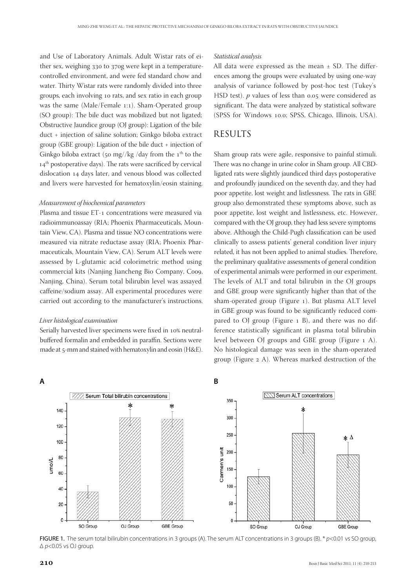and Use of Laboratory Animals. Adult Wistar rats of either sex, weighing 330 to 370g were kept in a temperaturecontrolled environment, and were fed standard chow and water. Thirty Wistar rats were randomly divided into three groups, each involving 10 rats, and sex ratio in each group was the same (Male/Female 1:1). Sham-Operated group (SO group): The bile duct was mobilized but not ligated; Obstructive Jaundice group (OJ group): Ligation of the bile duct + injection of saline solution; Ginkgo biloba extract group (GBE group): Ligation of the bile duct + injection of Ginkgo biloba extract (50 mg//kg /day from the  $1<sup>th</sup>$  to the 14<sup>th</sup> postoperative days). The rats were sacrificed by cervical dislocation 14 days later, and venous blood was collected and livers were harvested for hematoxylin/eosin staining.

#### *Measurement of biochemical parameters*

Plasma and tissue ET-1 concentrations were measured via radioimmunoassay (RIA; Phoenix Pharmaceuticals, Mountain View, CA). Plasma and tissue NO concentrations were measured via nitrate reductase assay (RIA; Phoenix Pharmaceuticals, Mountain View, CA). Serum ALT levels were assessed by L-glutamic acid colorimetric method using commercial kits (Nanjing Jiancheng Bio Company, Coo9, Nanjing, China). Serum total bilirubin level was assayed caffeine/sodium assay. All experimental procedures were carried out according to the manufacturer's instructions.

#### *Liver histological examination*

Serially harvested liver specimens were fixed in 10% neutralbuffered formalin and embedded in paraffin. Sections were made at 5-mm and stained with hematoxylin and eosin (H&E).

#### *Statistical analysis*

All data were expressed as the mean  $\pm$  SD. The differences among the groups were evaluated by using one-way analysis of variance followed by post-hoc test (Tukey's HSD test). *p* values of less than 0.05 were considered as significant. The data were analyzed by statistical software (SPSS for Windows 10.0; SPSS, Chicago, Illinois, USA).

## **RESULTS**

Sham group rats were agile, responsive to painful stimuli. There was no change in urine color in Sham group. All CBDligated rats were slightly jaundiced third days postoperative and profoundly jaundiced on the seventh day, and they had poor appetite, lost weight and listlessness. The rats in GBE group also demonstrated these symptoms above, such as poor appetite, lost weight and listlessness, etc. However, compared with the OJ group, they had less severe symptoms above. Although the Child-Pugh classification can be used clinically to assess patients' general condition liver injury related, it has not been applied to animal studies. Therefore, the preliminary qualitative assessments of general condition of experimental animals were performed in our experiment. The levels of ALT and total bilirubin in the OJ groups and GBE group were significantly higher than that of the sham-operated group (Figure 1). But plasma ALT level in GBE group was found to be significantly reduced compared to OJ group (Figure 1 B), and there was no difference statistically significant in plasma total bilirubin level between OJ groups and GBE group (Figure 1 A). No histological damage was seen in the sham-operated group (Figure 2 A). Whereas marked destruction of the



FIGURE 1. The serum total bilirubin concentrations in 3 groups (A). The serum ALT concentrations in 3 groups (B). \* *p*<0.01 vs SO group, Δ *p*<0.05 vs OJ group.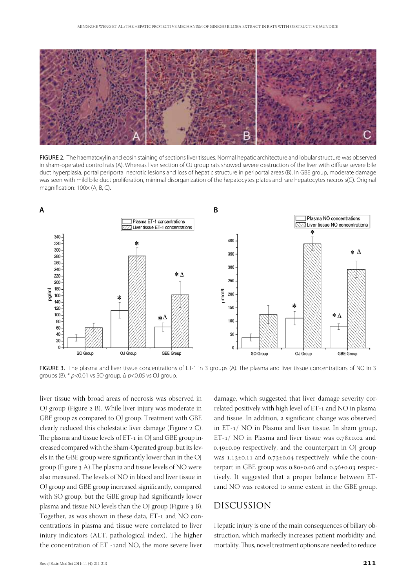

FIGURE 2. The haematoxylin and eosin staining of sections liver tissues. Normal hepatic architecture and lobular structure was observed in sham-operated control rats (A). Whereas liver section of OJ group rats showed severe destruction of the liver with diffuse severe bile duct hyperplasia, portal periportal necrotic lesions and loss of hepatic structure in periportal areas (B). In GBE group, moderate damage was seen with mild bile duct proliferation, minimal disorganization of the hepatocytes plates and rare hepatocytes necrosis(C). Original magnification: 100× (A, B, C).



FIGURE 3. The plasma and liver tissue concentrations of ET-1 in 3 groups (A). The plasma and liver tissue concentrations of NO in 3 groups (B). \* *p*<0.01 vs SO group, Δ *p*<0.05 vs OJ group.

liver tissue with broad areas of necrosis was observed in OJ group (Figure 2 B). While liver injury was moderate in GBE group as compared to OJ group. Treatment with GBE clearly reduced this cholestatic liver damage (Figure 2 C). The plasma and tissue levels of ET-1 in OJ and GBE group increased compared with the Sham-Operated group, but its levels in the GBE group were significantly lower than in the OJ group (Figure 3 A).The plasma and tissue levels of NO were also measured. The levels of NO in blood and liver tissue in OJ group and GBE group increased significantly, compared with SO group, but the GBE group had significantly lower plasma and tissue NO levels than the OJ group (Figure 3 B). Together, as was shown in these data, ET-1 and NO concentrations in plasma and tissue were correlated to liver injury indicators (ALT, pathological index). The higher the concentration of ET -1and NO, the more severe liver

damage, which suggested that liver damage severity correlated positively with high level of ET-1 and NO in plasma and tissue. In addition, a significant change was observed in ET-1/ NO in Plasma and liver tissue. In sham group, ET-1/ NO in Plasma and liver tissue was 0.78±0.02 and 0.49±0.09 respectively, and the counterpart in OJ group was 1.13±0.11 and 0.73±0.04 respectively, while the counterpart in GBE group was 0.80±0.06 and 0.56±0.03 respectively. It suggested that a proper balance between ET-1and NO was restored to some extent in the GBE group.

#### Discussion

Hepatic injury is one of the main consequences of biliary obstruction, which markedly increases patient morbidity and mortality. Thus, novel treatment options are needed to reduce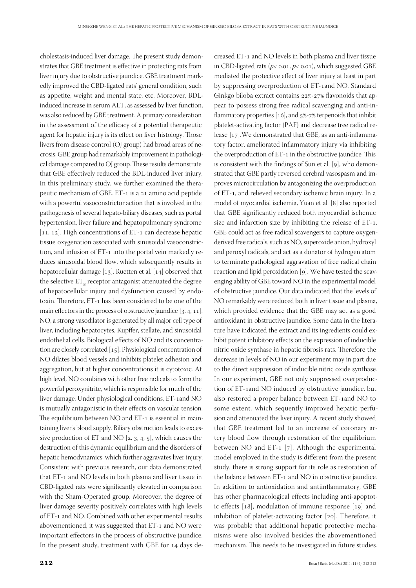cholestasis-induced liver damage. The present study demonstrates that GBE treatment is effective in protecting rats from liver injury due to obstructive jaundice. GBE treatment markedly improved the CBD-ligated rats' general condition, such as appetite, weight and mental state, etc. Moreover, BDLinduced increase in serum ALT, as assessed by liver function, was also reduced by GBE treatment. A primary consideration in the assessment of the efficacy of a potential therapeutic agent for hepatic injury is its effect on liver histology. Those livers from disease control (OJ group) had broad areas of necrosis; GBE group had remarkably improvement in pathological damage compared to OJ group. These results demonstrate that GBE effectively reduced the BDL-induced liver injury. In this preliminary study, we further examined the therapeutic mechanism of GBE. ET-1 is a 21 amino acid peptide with a powerful vasoconstrictor action that is involved in the pathogenesis of several hepato-biliary diseases, such as portal hypertension, liver failure and hepatopulmonary syndrome [11, 12]. High concentrations of ET-1 can decrease hepatic tissue oxygenation associated with sinusoidal vasoconstriction, and infusion of ET-1 into the portal vein markedly reduces sinusoidal blood flow, which subsequently results in hepatocellular damage [13]. Ruetten et al. [14] observed that the selective  $\mathsf{ET}_\mathtt{B}$  receptor antagonist attenuated the degree of hepatocellular injury and dysfunction caused by endotoxin. Therefore, ET-1 has been considered to be one of the main effectors in the process of obstructive jaundice [3, 4, 11]. NO, a strong vasodilator is generated by all major cell type of liver, including hepatocytes, Kupffer, stellate, and sinusoidal endothelial cells. Biological effects of NO and its concentration are closely correlated [15]. Physiological concentration of NO dilates blood vessels and inhibits platelet adhesion and aggregation, but at higher concentrations it is cytotoxic. At high level, NO combines with other free radicals to form the powerful peroxynitrite, which is responsible for much of the liver damage. Under physiological conditions, ET-1and NO is mutually antagonistic in their effects on vascular tension. The equilibrium between NO and ET-1 is essential in maintaining liver's blood supply. Biliary obstruction leads to excessive production of ET and NO [2, 3, 4, 5], which causes the destruction of this dynamic equilibrium and the disorders of hepatic hemodynamics, which further aggravates liver injury. Consistent with previous research, our data demonstrated that ET-1 and NO levels in both plasma and liver tissue in CBD-ligated rats were significantly elevated in comparison with the Sham-Operated group. Moreover, the degree of liver damage severity positively correlates with high levels of ET-1 and NO. Combined with other experimental results abovementioned, it was suggested that ET-1 and NO were important effectors in the process of obstructive jaundice. In the present study, treatment with GBE for 14 days de-

creased ET-1 and NO levels in both plasma and liver tissue in CBD-ligated rats ( $p$ < 0.01,  $p$ < 0.01), which suggested GBE mediated the protective effect of liver injury at least in part by suppressing overproduction of ET-1and NO. Standard Ginkgo biloba extract contains 22%-27% flavonoids that appear to possess strong free radical scavenging and anti-inflammatory properties [16], and 5%-7% terpenoids that inhibit platelet-activating factor (PAF) and decrease free radical release [17].We demonstrated that GBE, as an anti-inflammatory factor, ameliorated inflammatory injury via inhibiting the overproduction of ET-1 in the obstructive jaundice. This is consistent with the findings of Sun et al. [9], who demonstrated that GBE partly reversed cerebral vasospasm and improves microcirculation by antagonizing the overproduction of ET-1, and relieved secondary ischemic brain injury. In a model of myocardial ischemia, Yuan et al. [8] also reported that GBE significantly reduced both myocardial ischemic size and infarction size by inhibiting the release of ET-1. GBE could act as free radical scavengers to capture oxygenderived free radicals, such as NO, superoxide anion, hydroxyl and peroxyl radicals, and act as a donator of hydrogen atom to terminate pathological aggravation of free radical chain reaction and lipid peroxidation [9]. We have tested the scavenging ability of GBE toward NO in the experimental model of obstructive jaundice. Our data indicated that the levels of NO remarkably were reduced both in liver tissue and plasma, which provided evidence that the GBE may act as a good antioxidant in obstructive jaundice. Some data in the literature have indicated the extract and its ingredients could exhibit potent inhibitory effects on the expression of inducible nitric oxide synthase in hepatic fibrosis rats. Therefore the decrease in levels of NO in our experiment may in part due to the direct suppression of inducible nitric oxide synthase. In our experiment, GBE not only suppressed overproduction of ET-1and NO induced by obstructive jaundice, but also restored a proper balance between ET-1and NO to some extent, which sequently improved hepatic perfusion and attenuated the liver injury. A recent study showed that GBE treatment led to an increase of coronary artery blood flow through restoration of the equilibrium between NO and ET-1 [7]. Although the experimental model employed in the study is different from the present study, there is strong support for its role as restoration of the balance between ET-1 and NO in obstructive jaundice. In addition to antioxidation and antiinflammatory, GBE has other pharmacological effects including anti-apoptotic effects [18], modulation of immune response [19] and inhibition of platelet-activating factor [20]. Therefore, it was probable that additional hepatic protective mechanisms were also involved besides the abovementioned mechanism. This needs to be investigated in future studies.